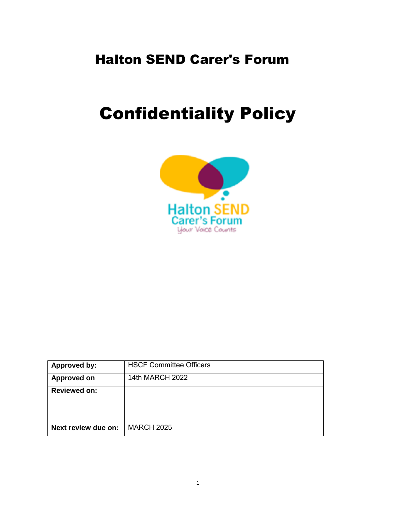## Halton SEND Carer's Forum

## Confidentiality Policy



| Approved by:        | <b>HSCF Committee Officers</b> |
|---------------------|--------------------------------|
| <b>Approved on</b>  | 14th MARCH 2022                |
| <b>Reviewed on:</b> |                                |
| Next review due on: | <b>MARCH 2025</b>              |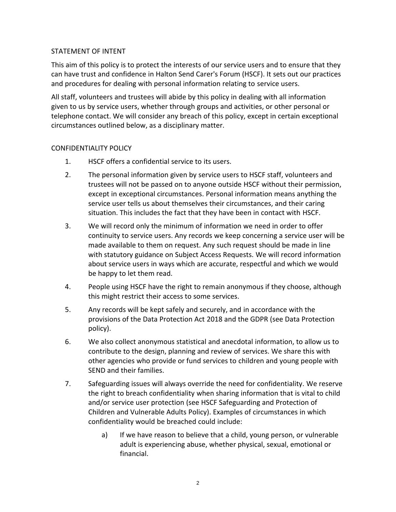## STATEMENT OF INTENT

This aim of this policy is to protect the interests of our service users and to ensure that they can have trust and confidence in Halton Send Carer's Forum (HSCF). It sets out our practices and procedures for dealing with personal information relating to service users.

All staff, volunteers and trustees will abide by this policy in dealing with all information given to us by service users, whether through groups and activities, or other personal or telephone contact. We will consider any breach of this policy, except in certain exceptional circumstances outlined below, as a disciplinary matter.

## CONFIDENTIALITY POLICY

- 1. HSCF offers a confidential service to its users.
- 2. The personal information given by service users to HSCF staff, volunteers and trustees will not be passed on to anyone outside HSCF without their permission, except in exceptional circumstances. Personal information means anything the service user tells us about themselves their circumstances, and their caring situation. This includes the fact that they have been in contact with HSCF.
- 3. We will record only the minimum of information we need in order to offer continuity to service users. Any records we keep concerning a service user will be made available to them on request. Any such request should be made in line with statutory guidance on Subject Access Requests. We will record information about service users in ways which are accurate, respectful and which we would be happy to let them read.
- 4. People using HSCF have the right to remain anonymous if they choose, although this might restrict their access to some services.
- 5. Any records will be kept safely and securely, and in accordance with the provisions of the Data Protection Act 2018 and the GDPR (see Data Protection policy).
- 6. We also collect anonymous statistical and anecdotal information, to allow us to contribute to the design, planning and review of services. We share this with other agencies who provide or fund services to children and young people with SEND and their families.
- 7. Safeguarding issues will always override the need for confidentiality. We reserve the right to breach confidentiality when sharing information that is vital to child and/or service user protection (see HSCF Safeguarding and Protection of Children and Vulnerable Adults Policy). Examples of circumstances in which confidentiality would be breached could include:
	- a) If we have reason to believe that a child, young person, or vulnerable adult is experiencing abuse, whether physical, sexual, emotional or financial.